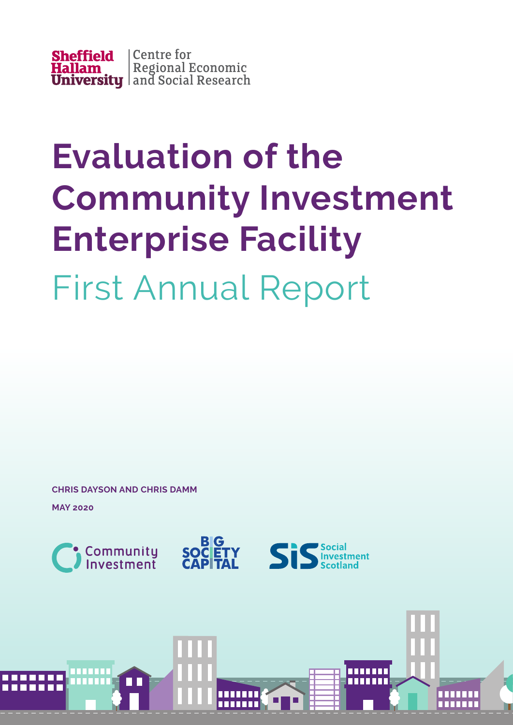

# **Evaluation of the Community Investment Enterprise Facility** First Annual Report

**CHRIS DAYSON AND CHRIS DAMM**

**MAY 2020**



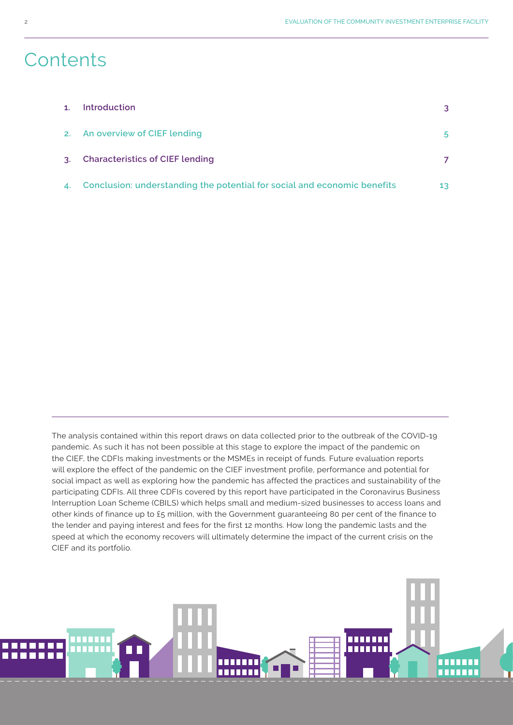### **Contents**

| 1 <sup>1</sup> | Introduction                                                                | 3               |
|----------------|-----------------------------------------------------------------------------|-----------------|
|                | 2. An overview of CIEF lending                                              | 5.              |
| 3 <sub>1</sub> | <b>Characteristics of CIEF lending</b>                                      |                 |
|                | 4. Conclusion: understanding the potential for social and economic benefits | 13 <sup>°</sup> |

The analysis contained within this report draws on data collected prior to the outbreak of the COVID-19 pandemic. As such it has not been possible at this stage to explore the impact of the pandemic on the CIEF, the CDFIs making investments or the MSMEs in receipt of funds. Future evaluation reports will explore the effect of the pandemic on the CIEF investment profile, performance and potential for social impact as well as exploring how the pandemic has affected the practices and sustainability of the participating CDFIs. All three CDFIs covered by this report have participated in the Coronavirus Business Interruption Loan Scheme (CBILS) which helps small and medium-sized businesses to access loans and other kinds of finance up to £5 million, with the Government guaranteeing 80 per cent of the finance to the lender and paying interest and fees for the first 12 months. How long the pandemic lasts and the speed at which the economy recovers will ultimately determine the impact of the current crisis on the CIEF and its portfolio.

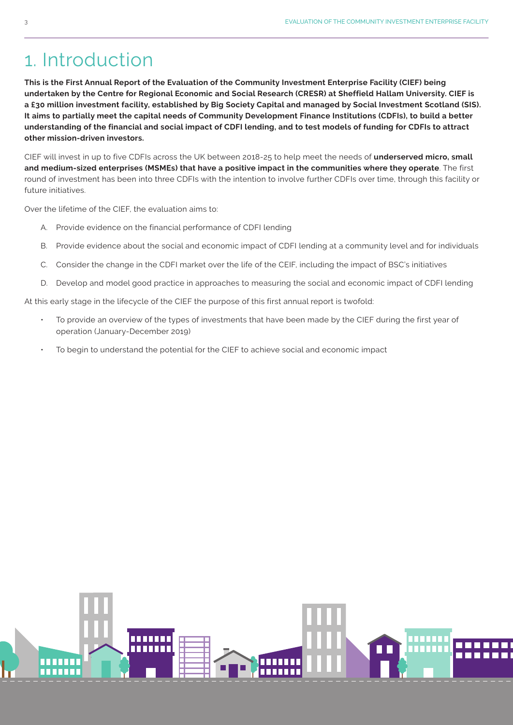### 1. Introduction

**This is the First Annual Report of the Evaluation of the Community Investment Enterprise Facility (CIEF) being undertaken by the Centre for Regional Economic and Social Research (CRESR) at Sheffield Hallam University. CIEF is a £30 million investment facility, established by Big Society Capital and managed by Social Investment Scotland (SIS). It aims to partially meet the capital needs of Community Development Finance Institutions (CDFIs), to build a better understanding of the financial and social impact of CDFI lending, and to test models of funding for CDFIs to attract other mission-driven investors.**

CIEF will invest in up to five CDFIs across the UK between 2018-25 to help meet the needs of **underserved micro, small and medium-sized enterprises (MSMEs) that have a positive impact in the communities where they operate**. The first round of investment has been into three CDFIs with the intention to involve further CDFIs over time, through this facility or future initiatives.

Over the lifetime of the CIEF, the evaluation aims to:

- A. Provide evidence on the financial performance of CDFI lending
- B. Provide evidence about the social and economic impact of CDFI lending at a community level and for individuals
- C. Consider the change in the CDFI market over the life of the CEIF, including the impact of BSC's initiatives
- D. Develop and model good practice in approaches to measuring the social and economic impact of CDFI lending

At this early stage in the lifecycle of the CIEF the purpose of this first annual report is twofold:

- To provide an overview of the types of investments that have been made by the CIEF during the first year of operation (January-December 2019)
- To begin to understand the potential for the CIEF to achieve social and economic impact

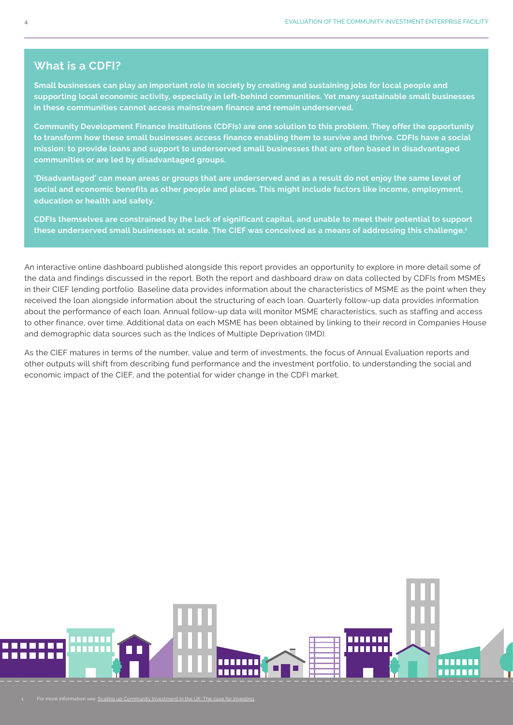#### **What is a CDFI?**

**Small businesses can play an important role in society by creating and sustaining jobs for local people and supporting local economic activity, especially in left-behind communities. Yet many sustainable small businesses in these communities cannot access mainstream finance and remain underserved.**

**Community Development Finance Institutions (CDFIs) are one solution to this problem. They offer the opportunity to transform how these small businesses access finance enabling them to survive and thrive. CDFIs have a social mission: to provide loans and support to underserved small businesses that are often based in disadvantaged communities or are led by disadvantaged groups.**

**'Disadvantaged' can mean areas or groups that are underserved and as a result do not enjoy the same level of social and economic benefits as other people and places. This might include factors like income, employment, education or health and safety.**

**CDFIs themselves are constrained by the lack of significant capital, and unable to meet their potential to support these underserved small businesses at scale. The CIEF was conceived as a means of addressing this challenge.1**

An interactive online dashboard published alongside this report provides an opportunity to explore in more detail some of the data and findings discussed in the report. Both the report and dashboard draw on data collected by CDFIs from MSMEs in their CIEF lending portfolio. Baseline data provides information about the characteristics of MSME as the point when they received the loan alongside information about the structuring of each loan. Quarterly follow-up data provides information about the performance of each loan. Annual follow-up data will monitor MSME characteristics, such as staffing and access to other finance, over time. Additional data on each MSME has been obtained by linking to their record in Companies House and demographic data sources such as the Indices of Multiple Deprivation (IMD).

As the CIEF matures in terms of the number, value and term of investments, the focus of Annual Evaluation reports and other outputs will shift from describing fund performance and the investment portfolio, to understanding the social and economic impact of the CIEF, and the potential for wider change in the CDFI market.

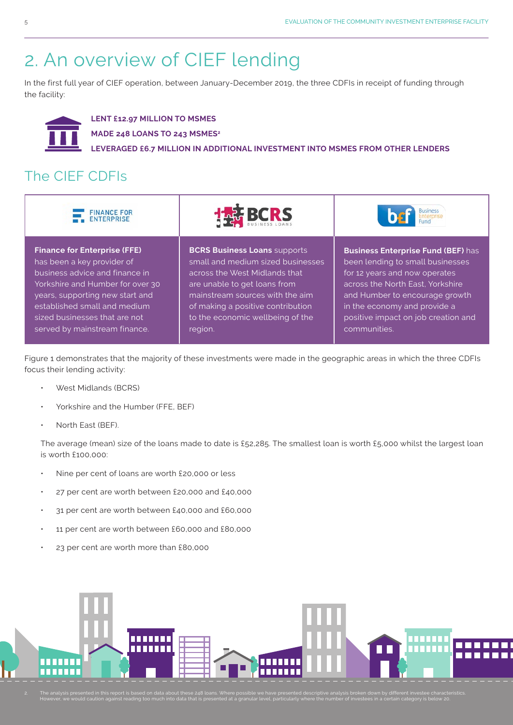communities.

## 2. An overview of CIEF lending

In the first full year of CIEF operation, between January-December 2019, the three CDFIs in receipt of funding through the facility:



**LENT £12.97 MILLION TO MSMES MADE 248 LOANS TO 243 MSMES2 LEVERAGED £6.7 MILLION IN ADDITIONAL INVESTMENT INTO MSMES FROM OTHER LENDERS**

### The CIEF CDFIs



Figure 1 demonstrates that the majority of these investments were made in the geographic areas in which the three CDFIs focus their lending activity:

region.

• West Midlands (BCRS)

served by mainstream finance.

- Yorkshire and the Humber (FFE, BEF)
- North East (BEF).

The average (mean) size of the loans made to date is £52,285. The smallest loan is worth £5,000 whilst the largest loan is worth £100,000:

- Nine per cent of loans are worth £20,000 or less
- 27 per cent are worth between £20,000 and £40,000
- 31 per cent are worth between £40,000 and £60,000
- 11 per cent are worth between £60,000 and £80,000
- 23 per cent are worth more than £80,000



2. The analysis presented in this report is based on data about these 248 loans. Where possible we have presented descriptive analysis broken down by different investee characteristics.<br>However, we would caution against re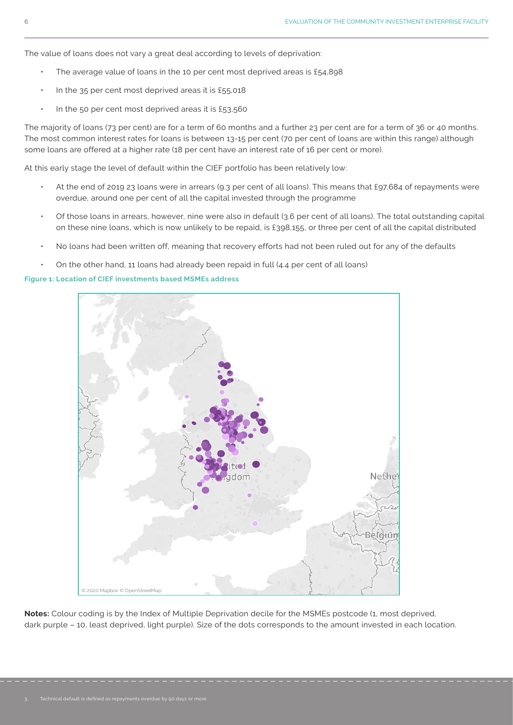The value of loans does not vary a great deal according to levels of deprivation:

- The average value of loans in the 10 per cent most deprived areas is  $£54,898$
- In the 35 per cent most deprived areas it is £55,018
- In the 50 per cent most deprived areas it is £53,560

The majority of loans (73 per cent) are for a term of 60 months and a further 23 per cent are for a term of 36 or 40 months. The most common interest rates for loans is between 13-15 per cent (70 per cent of loans are within this range) although some loans are offered at a higher rate (18 per cent have an interest rate of 16 per cent or more).

At this early stage the level of default within the CIEF portfolio has been relatively low:

- At the end of 2019 23 loans were in arrears (9.3 per cent of all loans). This means that £97,684 of repayments were overdue, around one per cent of all the capital invested through the programme
- Of those loans in arrears, however, nine were also in default (3.6 per cent of all loans). The total outstanding capital on these nine loans, which is now unlikely to be repaid, is £398,155, or three per cent of all the capital distributed
- No loans had been written off, meaning that recovery efforts had not been ruled out for any of the defaults
- $\cdot$  On the other hand, 11 loans had already been repaid in full (4.4 per cent of all loans)

**Figure 1: Location of CIEF investments based MSMEs address**



**Notes:** Colour coding is by the Index of Multiple Deprivation decile for the MSMEs postcode (1, most deprived, dark purple – 10, least deprived, light purple). Size of the dots corresponds to the amount invested in each location.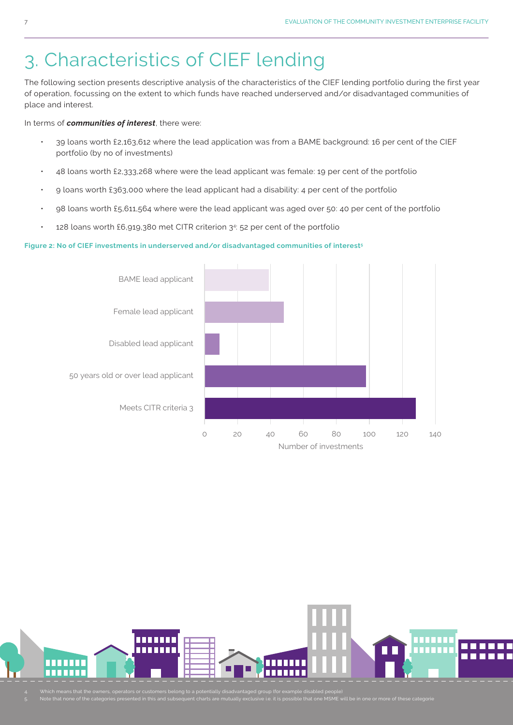# 3. Characteristics of CIEF lending

The following section presents descriptive analysis of the characteristics of the CIEF lending portfolio during the first year of operation, focussing on the extent to which funds have reached underserved and/or disadvantaged communities of place and interest.

In terms of *communities of interest*, there were:

- 39 loans worth £2,163,612 where the lead application was from a BAME background: 16 per cent of the CIEF portfolio (by no of investments)
- 48 loans worth £2,333,268 where were the lead applicant was female: 19 per cent of the portfolio
- 9 loans worth £363,000 where the lead applicant had a disability: 4 per cent of the portfolio
- 98 loans worth £5,611,564 where were the lead applicant was aged over 50: 40 per cent of the portfolio
- $\cdot$  128 loans worth £6,919,380 met CITR criterion 3<sup>4</sup>: 52 per cent of the portfolio

#### **Figure 2: No of CIEF investments in underserved and/or disadvantaged communities of interest5**





4. Which means that the owners, operators or customers belong to a potentially disadvantaged group (for example disabled people) 5. Note that none of the categories presented in this and subsequent charts are mutually exclusive i.e. it is possible that one MSME will be in one or more of these categorie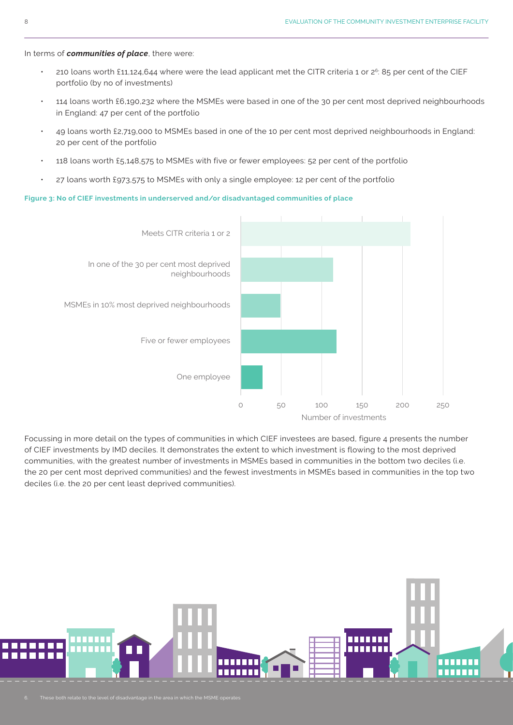#### In terms of *communities of place*, there were:

- 210 loans worth £11,124,644 where were the lead applicant met the CITR criteria 1 or  $2^6$ : 85 per cent of the CIEF portfolio (by no of investments)
- 114 loans worth £6,190,232 where the MSMEs were based in one of the 30 per cent most deprived neighbourhoods in England: 47 per cent of the portfolio
- 49 loans worth £2,719,000 to MSMEs based in one of the 10 per cent most deprived neighbourhoods in England: 20 per cent of the portfolio
- 118 loans worth £5,148,575 to MSMEs with five or fewer employees: 52 per cent of the portfolio
- 27 loans worth £973,575 to MSMEs with only a single employee: 12 per cent of the portfolio

#### **Figure 3: No of CIEF investments in underserved and/or disadvantaged communities of place**



Focussing in more detail on the types of communities in which CIEF investees are based, figure 4 presents the number of CIEF investments by IMD deciles. It demonstrates the extent to which investment is flowing to the most deprived communities, with the greatest number of investments in MSMEs based in communities in the bottom two deciles (i.e. the 20 per cent most deprived communities) and the fewest investments in MSMEs based in communities in the top two deciles (i.e. the 20 per cent least deprived communities).

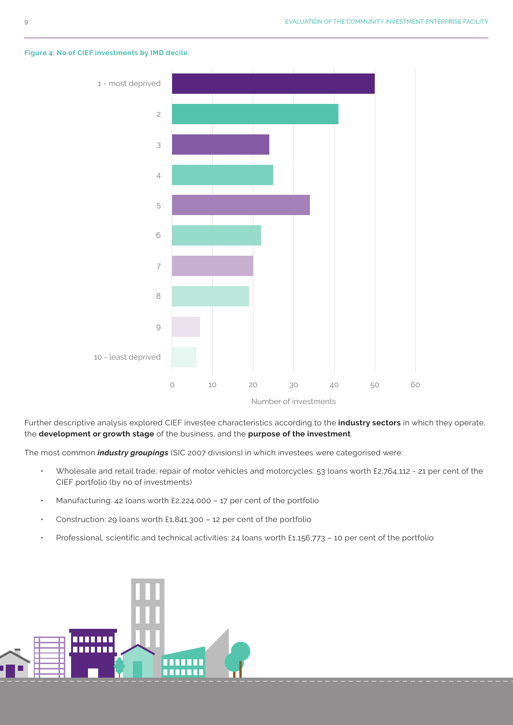

#### **Figure 4: No of CIEF investments by IMD decile**

Further descriptive analysis explored CIEF investee characteristics according to the **industry sectors** in which they operate, the **development or growth stage** of the business, and the **purpose of the investment**.

The most common *industry groupings* (SIC 2007 divisions) in which investees were categorised were:

- Wholesale and retail trade; repair of motor vehicles and motorcycles: 53 loans worth £2,764,112 21 per cent of the CIEF portfolio (by no of investments)
- Manufacturing: 42 loans worth £2,224,000 17 per cent of the portfolio
- Construction: 29 loans worth £1,841,300 12 per cent of the portfolio
- Professional, scientific and technical activities: 24 loans worth £1,156,773 10 per cent of the portfolio

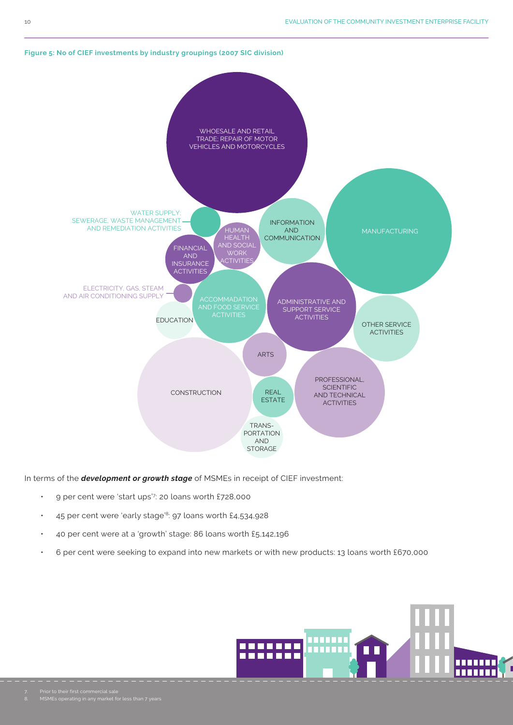

#### **Figure 5: No of CIEF investments by industry groupings (2007 SIC division)**

In terms of the *development or growth stage* of MSMEs in receipt of CIEF investment:

- 9 per cent were 'start ups'7 : 20 loans worth £728,000
- 45 per cent were 'early stage'8: 97 loans worth £4,534,928
- 40 per cent were at a 'growth' stage: 86 loans worth £5,142,196
- 6 per cent were seeking to expand into new markets or with new products: 13 loans worth £670,000

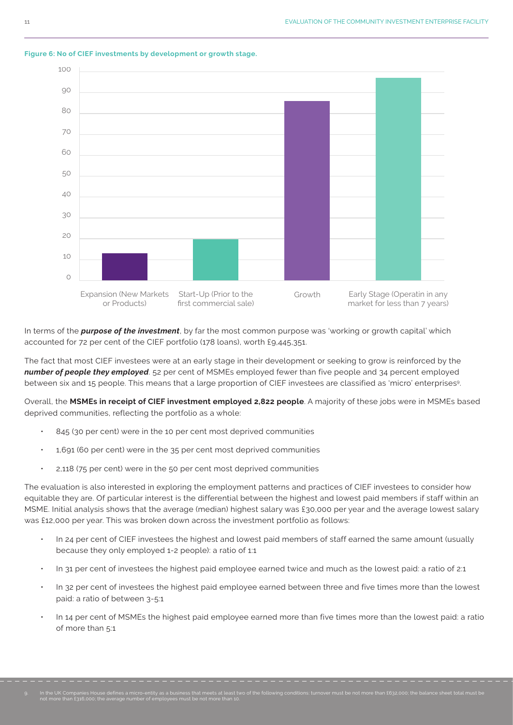

#### **Figure 6: No of CIEF investments by development or growth stage.**

In terms of the *purpose of the investment*, by far the most common purpose was 'working or growth capital' which accounted for 72 per cent of the CIEF portfolio (178 loans), worth £9,445,351.

The fact that most CIEF investees were at an early stage in their development or seeking to grow is reinforced by the *number of people they employed*. 52 per cent of MSMEs employed fewer than five people and 34 percent employed between six and 15 people. This means that a large proportion of CIEF investees are classified as 'micro' enterprises9.

Overall, the **MSMEs in receipt of CIEF investment employed 2,822 people**. A majority of these jobs were in MSMEs based deprived communities, reflecting the portfolio as a whole:

- 845 (30 per cent) were in the 10 per cent most deprived communities
- 1,691 (60 per cent) were in the 35 per cent most deprived communities
- 2,118 (75 per cent) were in the 50 per cent most deprived communities

The evaluation is also interested in exploring the employment patterns and practices of CIEF investees to consider how equitable they are. Of particular interest is the differential between the highest and lowest paid members if staff within an MSME. Initial analysis shows that the average (median) highest salary was £30,000 per year and the average lowest salary was £12,000 per year. This was broken down across the investment portfolio as follows:

- In 24 per cent of CIEF investees the highest and lowest paid members of staff earned the same amount (usually because they only employed 1-2 people): a ratio of 1:1
- In 31 per cent of investees the highest paid employee earned twice and much as the lowest paid: a ratio of 2:1
- In 32 per cent of investees the highest paid employee earned between three and five times more than the lowest paid: a ratio of between 3-5:1
- In 14 per cent of MSMEs the highest paid employee earned more than five times more than the lowest paid: a ratio of more than 5:1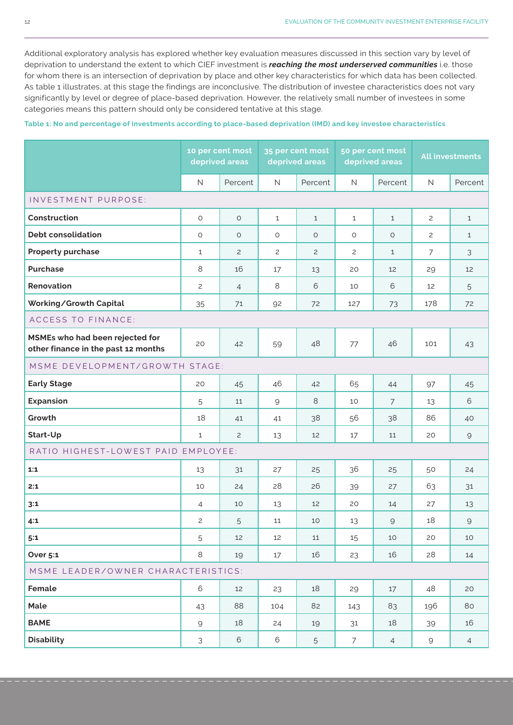Additional exploratory analysis has explored whether key evaluation measures discussed in this section vary by level of deprivation to understand the extent to which CIEF investment is *reaching the most underserved communities* i.e. those for whom there is an intersection of deprivation by place and other key characteristics for which data has been collected. As table 1 illustrates, at this stage the findings are inconclusive. The distribution of investee characteristics does not vary significantly by level or degree of place-based deprivation. However, the relatively small number of investees in some categories means this pattern should only be considered tentative at this stage.

#### **Table 1: No and percentage of investments according to place-based deprivation (IMD) and key investee characteristics**

|                                                                        | 10 per cent most<br>deprived areas |                | 35 per cent most<br>deprived areas |                | 50 per cent most<br>deprived areas |                | <b>All investments</b> |                                                                                                                      |
|------------------------------------------------------------------------|------------------------------------|----------------|------------------------------------|----------------|------------------------------------|----------------|------------------------|----------------------------------------------------------------------------------------------------------------------|
|                                                                        | $\mathsf{N}$                       | Percent        | N                                  | Percent        | $\mathsf{N}$                       | Percent        | $\mathsf N$            | Percent                                                                                                              |
| INVESTMENT PURPOSE:                                                    |                                    |                |                                    |                |                                    |                |                        |                                                                                                                      |
| Construction                                                           | $\circ$                            | $\circ$        | $\mathbf{1}$                       | $\mathbf{1}$   | $\mathbf{1}$                       | $\mathbf{1}$   | $\mathbf{2}^{\prime}$  | $\mathbf{1}$                                                                                                         |
| <b>Debt consolidation</b>                                              | O                                  | $\circ$        | O                                  | $\circ$        | O                                  | $\circ$        | $\overline{c}$         | $\mathbf{1}$                                                                                                         |
| <b>Property purchase</b>                                               | $\mathbf{1}$                       | $\overline{c}$ | $\overline{c}$                     | $\overline{c}$ | $\overline{c}$                     | $\mathbf{1}$   | $\overline{7}$         | 3                                                                                                                    |
| <b>Purchase</b>                                                        | 8                                  | 16             | 17                                 | 13             | 20                                 | 12             | 29                     | 12                                                                                                                   |
| Renovation                                                             | $\overline{c}$                     | $\overline{4}$ | 8                                  | 6              | 10                                 | 6              | 12                     | 5                                                                                                                    |
| Working/Growth Capital                                                 | 35                                 | 71             | 92                                 | 72             | 127                                | 73             | 178                    | 72                                                                                                                   |
| <b>ACCESS TO FINANCE:</b>                                              |                                    |                |                                    |                |                                    |                |                        |                                                                                                                      |
| MSMEs who had been rejected for<br>other finance in the past 12 months | 20                                 | 42             | 59                                 | 48             | 77                                 | 46             | 101                    | 43                                                                                                                   |
| MSME DEVELOPMENT/GROWTH STAGE:                                         |                                    |                |                                    |                |                                    |                |                        |                                                                                                                      |
| <b>Early Stage</b>                                                     | 20                                 | 45             | 46                                 | 42             | 65                                 | 44             | 97                     | 45                                                                                                                   |
| <b>Expansion</b>                                                       | 5                                  | 11             | 9                                  | 8              | 10                                 | $\overline{7}$ | 13                     | 6                                                                                                                    |
| Growth                                                                 | 18                                 | 41             | 41                                 | 38             | 56                                 | 38             | 86                     | 40                                                                                                                   |
| Start-Up                                                               | $\mathbf{1}$                       | $\overline{c}$ | 13                                 | 12             | 17                                 | 11             | 20                     | $\mathcal{Q}$                                                                                                        |
| RATIO HIGHEST-LOWEST PAID EMPLOYEE:                                    |                                    |                |                                    |                |                                    |                |                        |                                                                                                                      |
| 1:1                                                                    | 13                                 | 31             | 27                                 | 25             | 36                                 | 25             | 50                     | 24                                                                                                                   |
| 2:1                                                                    | 10                                 | 24             | 28                                 | 26             | 39                                 | 27             | 63                     | 31                                                                                                                   |
| 3:1                                                                    | 4                                  | 10             | 13                                 | 12             | 20                                 | 14             | 27                     | 13                                                                                                                   |
| 4:1                                                                    | 2                                  | 5              | 11                                 | 10             | 13                                 | $\mathsf{9}$   | 18                     | $\mathcal{G}% _{M_{1},M_{2}}^{\alpha,\beta}(\mathcal{A})\equiv\mathcal{A}_{M_{1},M_{2}}^{\alpha,\beta}(\mathcal{A})$ |
| 5:1                                                                    | 5                                  | 12             | 12                                 | 11             | 15                                 | 10             | 20                     | 10                                                                                                                   |
| <b>Over 5:1</b>                                                        | 8                                  | 19             | 17                                 | 16             | 23                                 | 16             | 28                     | 14                                                                                                                   |
| MSME LEADER/OWNER CHARACTERISTICS:                                     |                                    |                |                                    |                |                                    |                |                        |                                                                                                                      |
| Female                                                                 | 6                                  | 12             | 23                                 | 18             | 29                                 | 17             | 48                     | 20                                                                                                                   |
| Male                                                                   | 43                                 | 88             | 104                                | 82             | 143                                | 83             | 196                    | 80                                                                                                                   |
| <b>BAME</b>                                                            | 9                                  | 18             | 24                                 | 19             | 31                                 | 18             | 39                     | 16                                                                                                                   |
| <b>Disability</b>                                                      | 3                                  | 6              | 6                                  | 5              | $\overline{7}$                     | $\overline{4}$ | 9                      | $\overline{4}$                                                                                                       |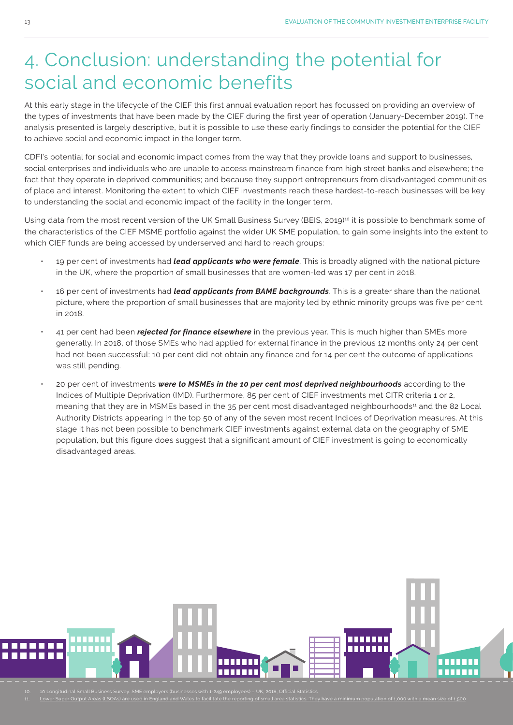# 4. Conclusion: understanding the potential for social and economic benefits

At this early stage in the lifecycle of the CIEF this first annual evaluation report has focussed on providing an overview of the types of investments that have been made by the CIEF during the first year of operation (January-December 2019). The analysis presented is largely descriptive, but it is possible to use these early findings to consider the potential for the CIEF to achieve social and economic impact in the longer term.

CDFI's potential for social and economic impact comes from the way that they provide loans and support to businesses, social enterprises and individuals who are unable to access mainstream finance from high street banks and elsewhere; the fact that they operate in deprived communities; and because they support entrepreneurs from disadvantaged communities of place and interest. Monitoring the extent to which CIEF investments reach these hardest-to-reach businesses will be key to understanding the social and economic impact of the facility in the longer term.

Using data from the most recent version of the UK Small Business Survey (BEIS, 2019)<sup>10</sup> it is possible to benchmark some of the characteristics of the CIEF MSME portfolio against the wider UK SME population, to gain some insights into the extent to which CIEF funds are being accessed by underserved and hard to reach groups:

- 19 per cent of investments had *lead applicants who were female*. This is broadly aligned with the national picture in the UK, where the proportion of small businesses that are women-led was 17 per cent in 2018.
- 16 per cent of investments had *lead applicants from BAME backgrounds*. This is a greater share than the national picture, where the proportion of small businesses that are majority led by ethnic minority groups was five per cent in 2018.
- 41 per cent had been *rejected for finance elsewhere* in the previous year. This is much higher than SMEs more generally. In 2018, of those SMEs who had applied for external finance in the previous 12 months only 24 per cent had not been successful: 10 per cent did not obtain any finance and for 14 per cent the outcome of applications was still pending.
- 20 per cent of investments *were to MSMEs in the 10 per cent most deprived neighbourhoods* according to the Indices of Multiple Deprivation (IMD). Furthermore, 85 per cent of CIEF investments met CITR criteria 1 or 2, meaning that they are in MSMEs based in the 35 per cent most disadvantaged neighbourhoods<sup>11</sup> and the 82 Local Authority Districts appearing in the top 50 of any of the seven most recent Indices of Deprivation measures. At this stage it has not been possible to benchmark CIEF investments against external data on the geography of SME population, but this figure does suggest that a significant amount of CIEF investment is going to economically disadvantaged areas.